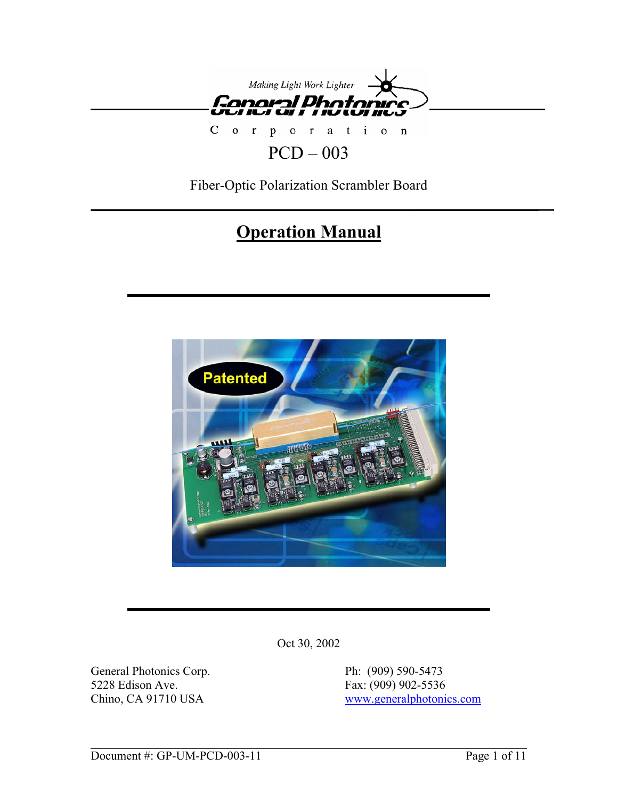

# $PCD - 003$

Fiber-Optic Polarization Scrambler Board

# **Operation Manual**



Oct 30, 2002

General Photonics Corp. Ph: (909) 590-5473 5228 Edison Ave. Fax: (909) 902-5536

Chino, CA 91710 USA www.generalphotonics.com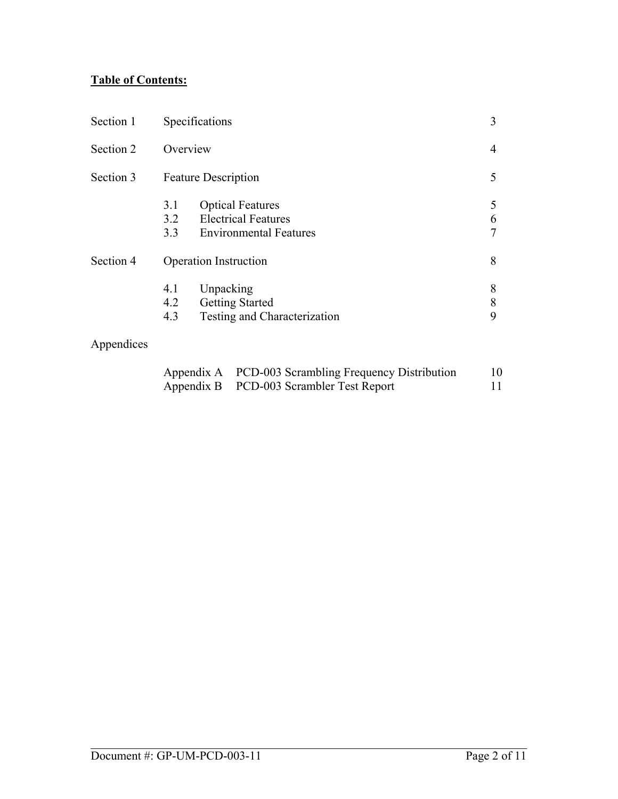# **Table of Contents:**

| Section 1  | Specifications               |                                                                                        | 3           |
|------------|------------------------------|----------------------------------------------------------------------------------------|-------------|
| Section 2  | Overview                     |                                                                                        | 4           |
| Section 3  |                              | <b>Feature Description</b>                                                             | 5           |
|            | 3.1<br>3.2<br>3.3            | <b>Optical Features</b><br><b>Electrical Features</b><br><b>Environmental Features</b> | 5<br>6<br>7 |
| Section 4  | <b>Operation Instruction</b> |                                                                                        | 8           |
|            | 4.1<br>4.2<br>4.3            | Unpacking<br><b>Getting Started</b><br>Testing and Characterization                    | 8<br>8<br>9 |
| Appendices |                              |                                                                                        |             |

| Appendix A PCD-003 Scrambling Frequency Distribution | 10  |
|------------------------------------------------------|-----|
| Appendix B PCD-003 Scrambler Test Report             | 11. |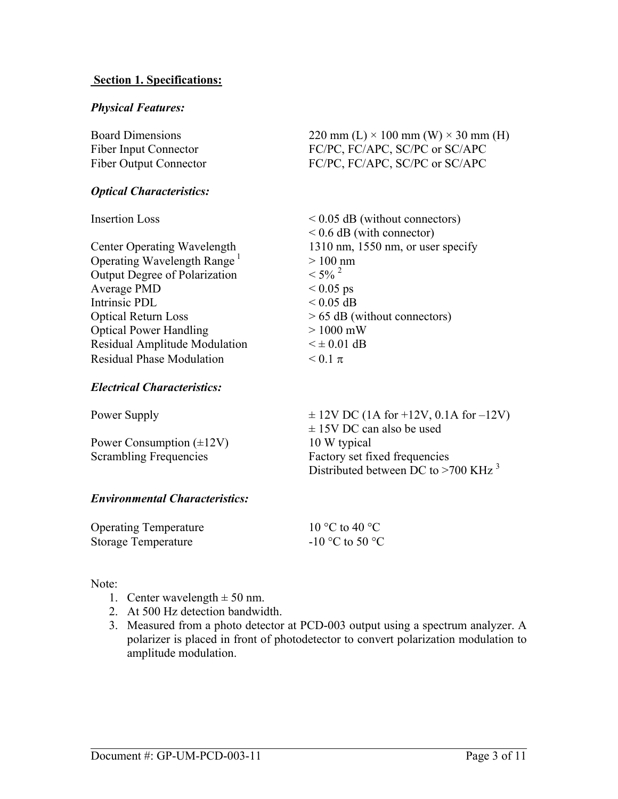#### **Section 1. Specifications:**

#### *Physical Features:*

| <b>Board Dimensions</b>       | 220 mm (L) $\times$ 100 mm (W) $\times$ 30 mm (H) |
|-------------------------------|---------------------------------------------------|
| <b>Fiber Input Connector</b>  | FC/PC, FC/APC, SC/PC or SC/APC                    |
| <b>Fiber Output Connector</b> | FC/PC, FC/APC, SC/PC or SC/APC                    |

#### *Optical Characteristics:*

Operating Wavelength Range<sup>1</sup>  $> 100 \text{ nm}$ <br>Output Degree of Polarization  $< 5\%$ <sup>2</sup> Output Degree of Polarization Average PMD  $< 0.05$  ps Intrinsic PDL  $< 0.05$  dB Optical Return Loss  $> 65$  dB (without connectors) Optical Power Handling > 1000 mW Residual Amplitude Modulation  $\leq \pm 0.01$  dB Residual Phase Modulation  $\leq 0.1 \pi$ 

Insertion Loss < 0.05 dB (without connectors)  $< 0.6$  dB (with connector) Center Operating Wavelength 1310 nm, 1550 nm, or user specify

#### *Electrical Characteristics:*

Power Consumption  $(\pm 12V)$  10 W typical

Power Supply  $\pm 12V$  DC (1A for +12V, 0.1A for -12V)  $\pm$  15V DC can also be used Scrambling Frequencies Factory set fixed frequencies Distributed between DC to  $>700$  KHz<sup>3</sup>

#### *Environmental Characteristics:*

| <b>Operating Temperature</b> | 10 °C to 40 °C    |
|------------------------------|-------------------|
| Storage Temperature          | $-10$ °C to 50 °C |

#### Note:

- 1. Center wavelength  $\pm$  50 nm.
- 2. At 500 Hz detection bandwidth.
- 3. Measured from a photo detector at PCD-003 output using a spectrum analyzer. A polarizer is placed in front of photodetector to convert polarization modulation to amplitude modulation.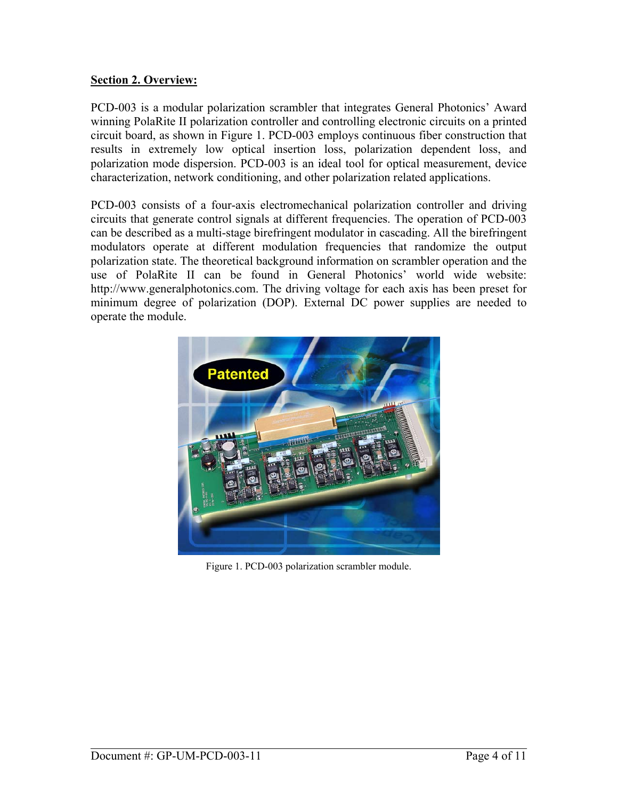### **Section 2. Overview:**

PCD-003 is a modular polarization scrambler that integrates General Photonics' Award winning PolaRite II polarization controller and controlling electronic circuits on a printed circuit board, as shown in Figure 1. PCD-003 employs continuous fiber construction that results in extremely low optical insertion loss, polarization dependent loss, and polarization mode dispersion. PCD-003 is an ideal tool for optical measurement, device characterization, network conditioning, and other polarization related applications.

PCD-003 consists of a four-axis electromechanical polarization controller and driving circuits that generate control signals at different frequencies. The operation of PCD-003 can be described as a multi-stage birefringent modulator in cascading. All the birefringent modulators operate at different modulation frequencies that randomize the output polarization state. The theoretical background information on scrambler operation and the use of PolaRite II can be found in General Photonics' world wide website: http://www.generalphotonics.com. The driving voltage for each axis has been preset for minimum degree of polarization (DOP). External DC power supplies are needed to operate the module.



Figure 1. PCD-003 polarization scrambler module.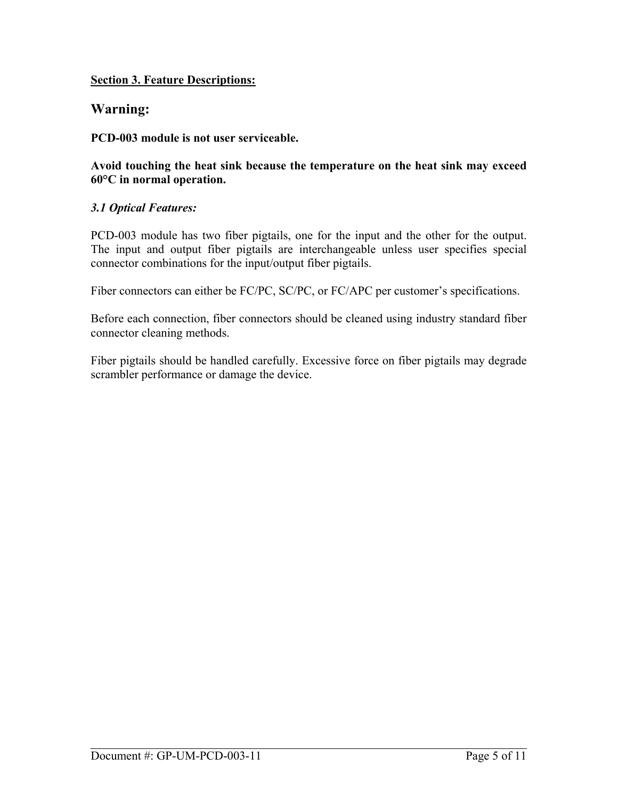### **Section 3. Feature Descriptions:**

# **Warning:**

**PCD-003 module is not user serviceable.** 

**Avoid touching the heat sink because the temperature on the heat sink may exceed 60°C in normal operation.** 

### *3.1 Optical Features:*

PCD-003 module has two fiber pigtails, one for the input and the other for the output. The input and output fiber pigtails are interchangeable unless user specifies special connector combinations for the input/output fiber pigtails.

Fiber connectors can either be FC/PC, SC/PC, or FC/APC per customer's specifications.

Before each connection, fiber connectors should be cleaned using industry standard fiber connector cleaning methods.

Fiber pigtails should be handled carefully. Excessive force on fiber pigtails may degrade scrambler performance or damage the device.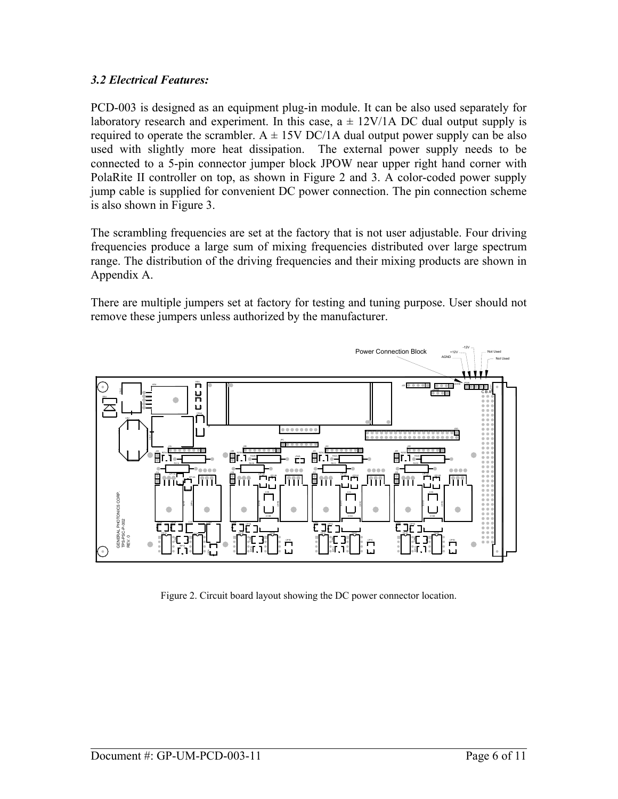### *3.2 Electrical Features:*

PCD-003 is designed as an equipment plug-in module. It can be also used separately for laboratory research and experiment. In this case,  $a \pm 12V/1$  ADC dual output supply is required to operate the scrambler.  $A \pm 15V$  DC/1A dual output power supply can be also used with slightly more heat dissipation. The external power supply needs to be connected to a 5-pin connector jumper block JPOW near upper right hand corner with PolaRite II controller on top, as shown in Figure 2 and 3. A color-coded power supply jump cable is supplied for convenient DC power connection. The pin connection scheme is also shown in Figure 3.

The scrambling frequencies are set at the factory that is not user adjustable. Four driving frequencies produce a large sum of mixing frequencies distributed over large spectrum range. The distribution of the driving frequencies and their mixing products are shown in Appendix A.

There are multiple jumpers set at factory for testing and tuning purpose. User should not remove these jumpers unless authorized by the manufacturer.



Figure 2. Circuit board layout showing the DC power connector location.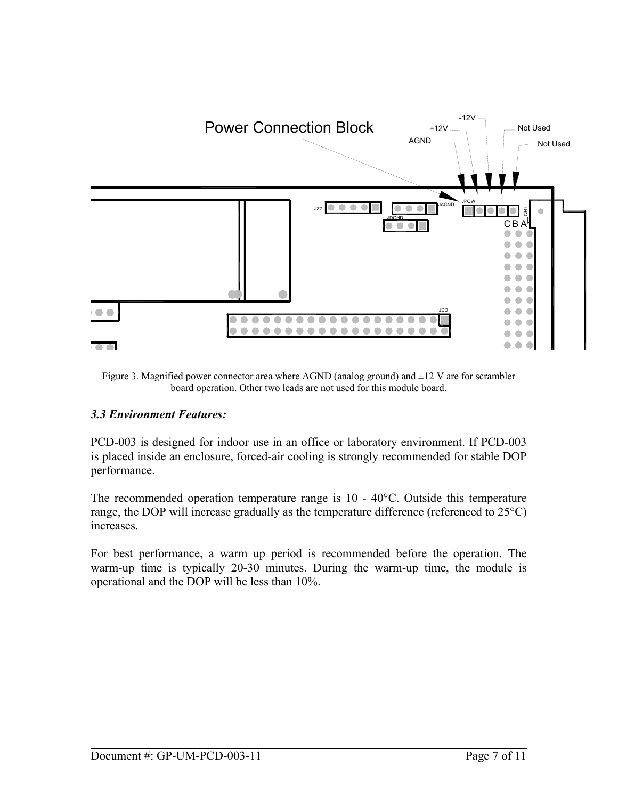

Figure 3. Magnified power connector area where AGND (analog ground) and ±12 V are for scrambler board operation. Other two leads are not used for this module board.

# *3.3 Environment Features:*

PCD-003 is designed for indoor use in an office or laboratory environment. If PCD-003 is placed inside an enclosure, forced-air cooling is strongly recommended for stable DOP performance.

The recommended operation temperature range is 10 - 40°C. Outside this temperature range, the DOP will increase gradually as the temperature difference (referenced to 25°C) increases.

For best performance, a warm up period is recommended before the operation. The warm-up time is typically 20-30 minutes. During the warm-up time, the module is operational and the DOP will be less than 10%.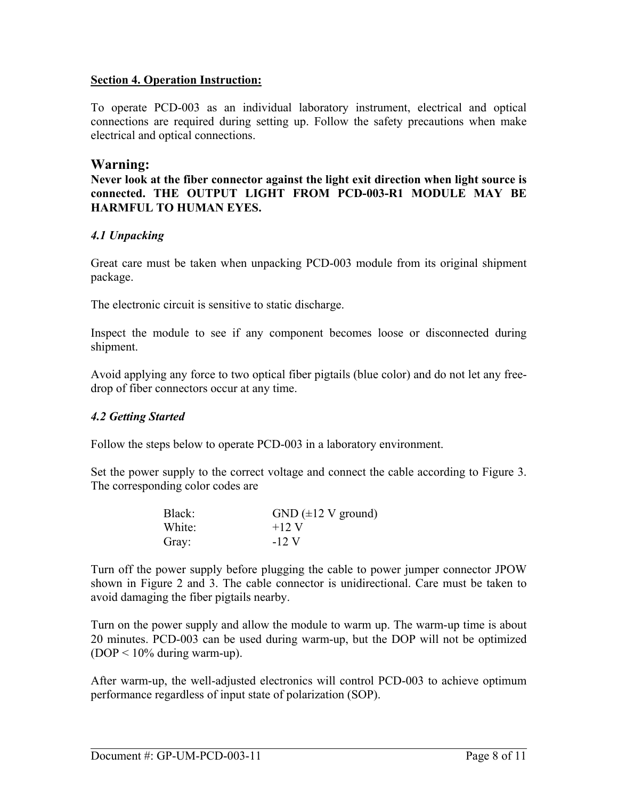#### **Section 4. Operation Instruction:**

To operate PCD-003 as an individual laboratory instrument, electrical and optical connections are required during setting up. Follow the safety precautions when make electrical and optical connections.

# **Warning:**

**Never look at the fiber connector against the light exit direction when light source is connected. THE OUTPUT LIGHT FROM PCD-003-R1 MODULE MAY BE HARMFUL TO HUMAN EYES.** 

# *4.1 Unpacking*

Great care must be taken when unpacking PCD-003 module from its original shipment package.

The electronic circuit is sensitive to static discharge.

Inspect the module to see if any component becomes loose or disconnected during shipment.

Avoid applying any force to two optical fiber pigtails (blue color) and do not let any freedrop of fiber connectors occur at any time.

# *4.2 Getting Started*

Follow the steps below to operate PCD-003 in a laboratory environment.

Set the power supply to the correct voltage and connect the cable according to Figure 3. The corresponding color codes are

| Black: | $GND$ ( $\pm$ 12 V ground) |
|--------|----------------------------|
| White: | $+12$ V                    |
| Gray:  | $-12$ V                    |

Turn off the power supply before plugging the cable to power jumper connector JPOW shown in Figure 2 and 3. The cable connector is unidirectional. Care must be taken to avoid damaging the fiber pigtails nearby.

Turn on the power supply and allow the module to warm up. The warm-up time is about 20 minutes. PCD-003 can be used during warm-up, but the DOP will not be optimized  $(DOP < 10\%$  during warm-up).

After warm-up, the well-adjusted electronics will control PCD-003 to achieve optimum performance regardless of input state of polarization (SOP).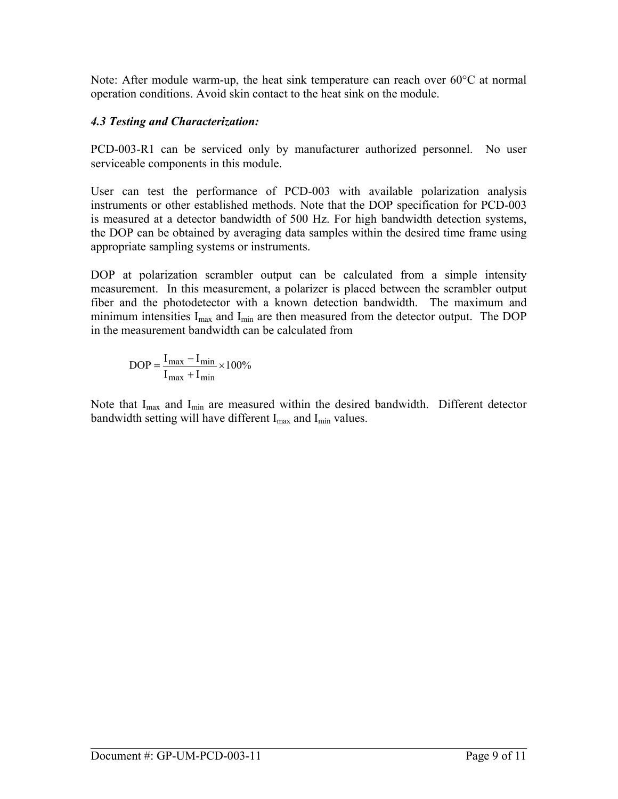Note: After module warm-up, the heat sink temperature can reach over 60°C at normal operation conditions. Avoid skin contact to the heat sink on the module.

# *4.3 Testing and Characterization:*

PCD-003-R1 can be serviced only by manufacturer authorized personnel. No user serviceable components in this module.

User can test the performance of PCD-003 with available polarization analysis instruments or other established methods. Note that the DOP specification for PCD-003 is measured at a detector bandwidth of 500 Hz. For high bandwidth detection systems, the DOP can be obtained by averaging data samples within the desired time frame using appropriate sampling systems or instruments.

DOP at polarization scrambler output can be calculated from a simple intensity measurement. In this measurement, a polarizer is placed between the scrambler output fiber and the photodetector with a known detection bandwidth. The maximum and minimum intensities  $I_{max}$  and  $I_{min}$  are then measured from the detector output. The DOP in the measurement bandwidth can be calculated from

$$
DOP = \frac{I_{max} - I_{min}}{I_{max} + I_{min}} \times 100\%
$$

Note that I<sub>max</sub> and I<sub>min</sub> are measured within the desired bandwidth. Different detector bandwidth setting will have different I<sub>max</sub> and I<sub>min</sub> values.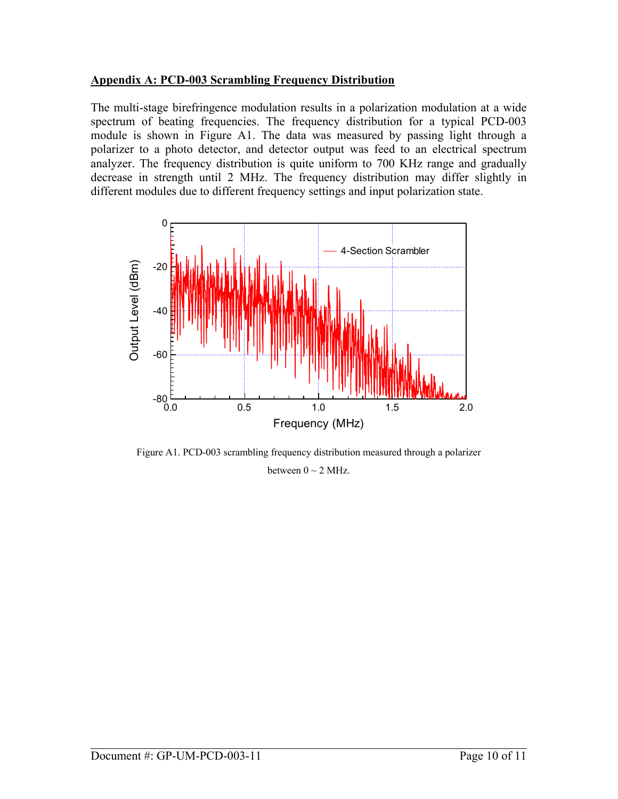### **Appendix A: PCD-003 Scrambling Frequency Distribution**

The multi-stage birefringence modulation results in a polarization modulation at a wide spectrum of beating frequencies. The frequency distribution for a typical PCD-003 module is shown in Figure A1. The data was measured by passing light through a polarizer to a photo detector, and detector output was feed to an electrical spectrum analyzer. The frequency distribution is quite uniform to 700 KHz range and gradually decrease in strength until 2 MHz. The frequency distribution may differ slightly in different modules due to different frequency settings and input polarization state.



Figure A1. PCD-003 scrambling frequency distribution measured through a polarizer between  $0 \sim 2$  MHz.